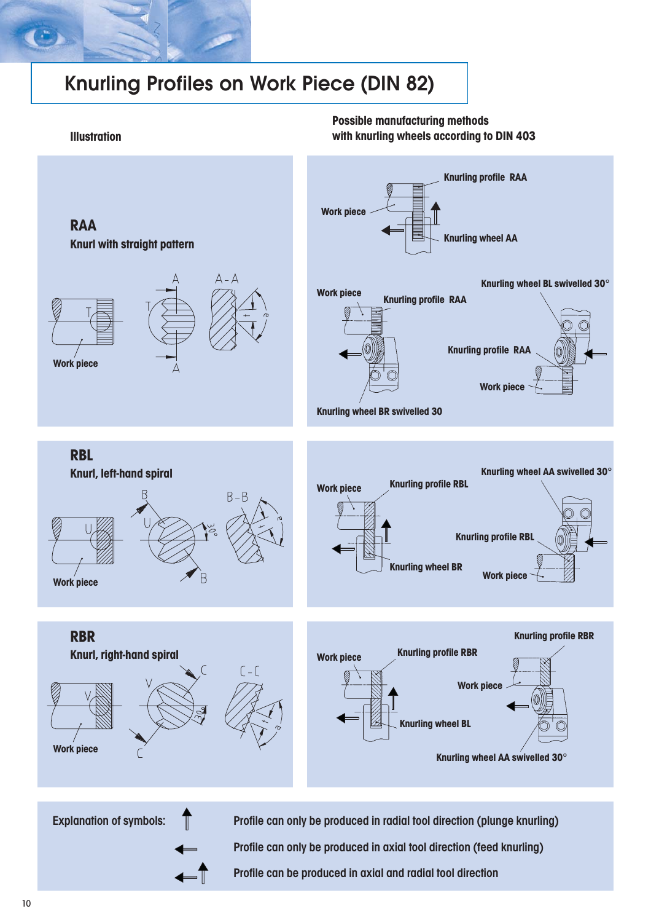# Knurling Profiles on Work Piece (DIN 82)

#### **Illustration**

### **Possible manufacturing methods with knurling wheels according to DIN 403**

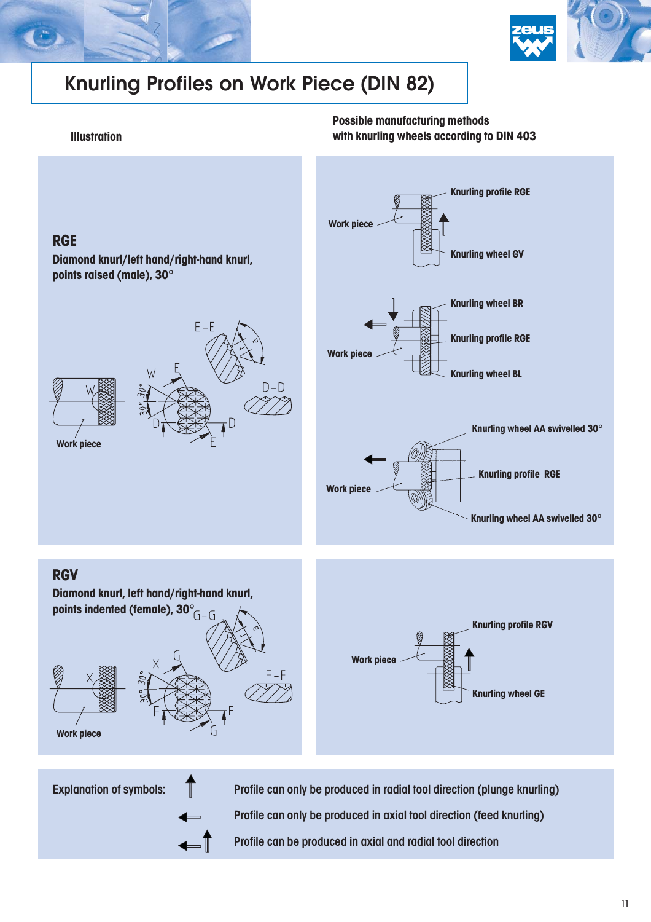



# Knurling Profiles on Work Piece (DIN 82)

#### **Illustration**

**Possible manufacturing methods with knurling wheels according to DIN 403**



Explanation of symbols:

Profile can only be produced in radial tool direction (plunge knurling) Profile can only be produced in axial tool direction (feed knurling) Profile can be produced in axial and radial tool direction